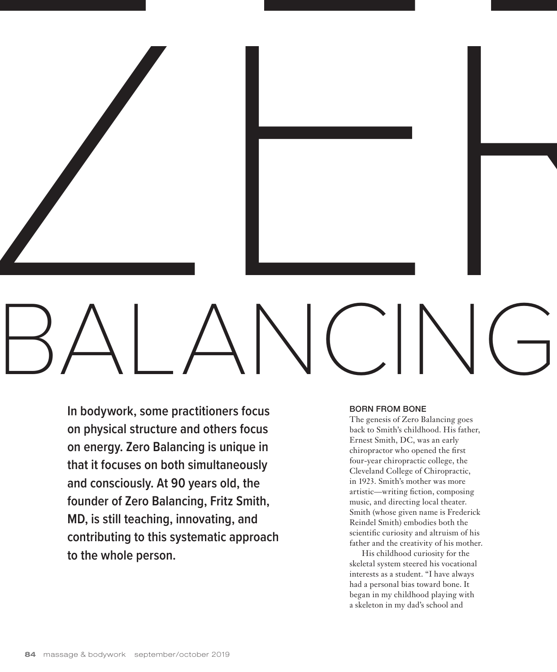

**In bodywork, some practitioners focus on physical structure and others focus on energy. Zero Balancing is unique in that it focuses on both simultaneously and consciously. At 90 years old, the founder of Zero Balancing, Fritz Smith, MD, is still teaching, innovating, and contributing to this systematic approach to the whole person.**

#### BORN FROM BONE

The genesis of Zero Balancing goes back to Smith's childhood. His father, Ernest Smith, DC, was an early chiropractor who opened the first four-year chiropractic college, the Cleveland College of Chiropractic, in 1923. Smith's mother was more artistic—writing fiction, composing music, and directing local theater. Smith (whose given name is Frederick Reindel Smith) embodies both the scientific curiosity and altruism of his father and the creativity of his mother.

His childhood curiosity for the skeletal system steered his vocational interests as a student. "I have always had a personal bias toward bone. It began in my childhood playing with a skeleton in my dad's school and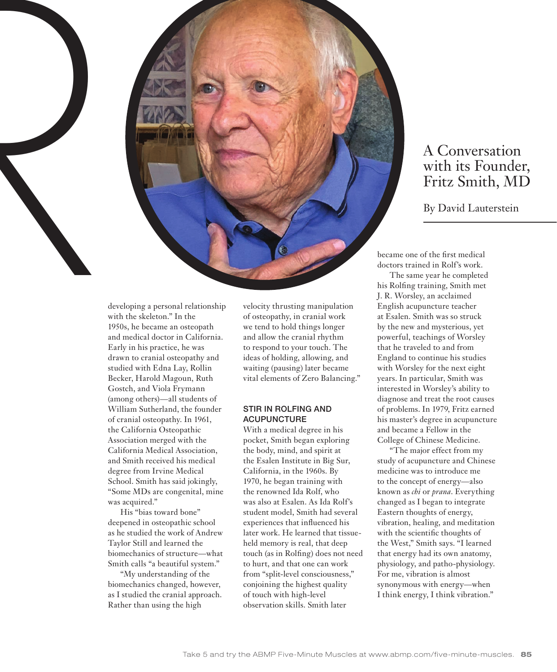

# A Conversation with its Founder, Fritz Smith, MD

developing a personal relationship with the skeleton." In the 1950s, he became an osteopath and medical doctor in California. Early in his practice, he was drawn to cranial osteopathy and studied with Edna Lay, Rollin Becker, Harold Magoun, Ruth Gostch, and Viola Frymann (among others)—all students of William Sutherland, the founder of cranial osteopathy. In 1961, the California Osteopathic Association merged with the California Medical Association, and Smith received his medical degree from Irvine Medical School. Smith has said jokingly, "Some MDs are congenital, mine was acquired."

His "bias toward bone" deepened in osteopathic school as he studied the work of Andrew Taylor Still and learned the biomechanics of structure—what Smith calls "a beautiful system."

"My understanding of the biomechanics changed, however, as I studied the cranial approach. Rather than using the high

velocity thrusting manipulation of osteopathy, in cranial work we tend to hold things longer and allow the cranial rhythm to respond to your touch. The ideas of holding, allowing, and waiting (pausing) later became vital elements of Zero Balancing."

## STIR IN ROLFING AND ACUPUNCTURE

With a medical degree in his pocket, Smith began exploring the body, mind, and spirit at the Esalen Institute in Big Sur, California, in the 1960s. By 1970, he began training with the renowned Ida Rolf, who was also at Esalen. As Ida Rolf's student model, Smith had several experiences that influenced his later work. He learned that tissueheld memory is real, that deep touch (as in Rolfing) does not need to hurt, and that one can work from "split-level consciousness," conjoining the highest quality of touch with high-level observation skills. Smith later

became one of the first medical doctors trained in Rolf's work.

The same year he completed his Rolfing training, Smith met J. R. Worsley, an acclaimed English acupuncture teacher at Esalen. Smith was so struck by the new and mysterious, yet powerful, teachings of Worsley that he traveled to and from England to continue his studies with Worsley for the next eight years. In particular, Smith was interested in Worsley's ability to diagnose and treat the root causes of problems. In 1979, Fritz earned his master's degree in acupuncture and became a Fellow in the College of Chinese Medicine.

"The major effect from my study of acupuncture and Chinese medicine was to introduce me to the concept of energy—also known as *chi* or *prana*. Everything changed as I began to integrate Eastern thoughts of energy, vibration, healing, and meditation with the scientific thoughts of the West," Smith says. "I learned that energy had its own anatomy, physiology, and patho-physiology. For me, vibration is almost synonymous with energy—when I think energy, I think vibration."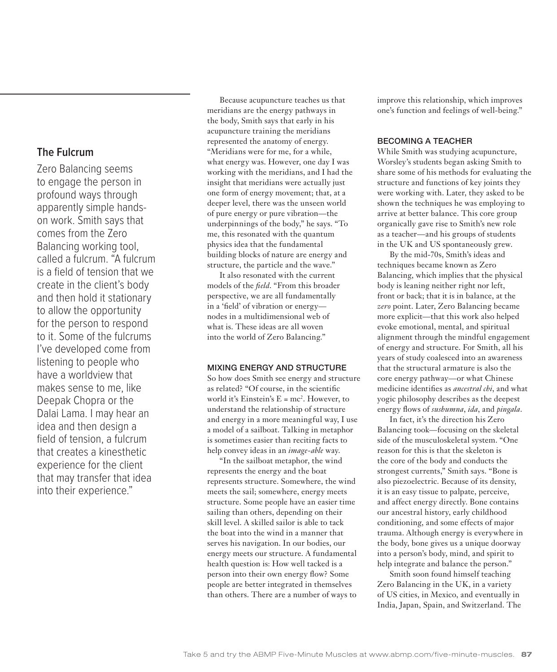Zero Balancing seems to engage the person in profound ways through apparently simple handson work. Smith says that comes from the Zero Balancing working tool, called a fulcrum. "A fulcrum is a field of tension that we create in the client's body and then hold it stationary to allow the opportunity for the person to respond to it. Some of the fulcrums I've developed come from listening to people who have a worldview that makes sense to me, like Deepak Chopra or the Dalai Lama. I may hear an idea and then design a field of tension, a fulcrum that creates a kinesthetic experience for the client that may transfer that idea into their experience."

Because acupuncture teaches us that meridians are the energy pathways in the body, Smith says that early in his acupuncture training the meridians represented the anatomy of energy. "Meridians were for me, for a while, what energy was. However, one day I was working with the meridians, and I had the insight that meridians were actually just one form of energy movement; that, at a deeper level, there was the unseen world of pure energy or pure vibration—the underpinnings of the body," he says. "To me, this resonated with the quantum physics idea that the fundamental building blocks of nature are energy and structure, the particle and the wave."

It also resonated with the current models of the *field*. "From this broader perspective, we are all fundamentally in a 'field' of vibration or energy nodes in a multidimensional web of what is. These ideas are all woven into the world of Zero Balancing."

### MIXING ENERGY AND STRUCTURE

So how does Smith see energy and structure as related? "Of course, in the scientific world it's Einstein's E = mc2 . However, to understand the relationship of structure and energy in a more meaningful way, I use a model of a sailboat. Talking in metaphor is sometimes easier than reciting facts to help convey ideas in an *image-able* way.

"In the sailboat metaphor, the wind represents the energy and the boat represents structure. Somewhere, the wind meets the sail; somewhere, energy meets structure. Some people have an easier time sailing than others, depending on their skill level. A skilled sailor is able to tack the boat into the wind in a manner that serves his navigation. In our bodies, our energy meets our structure. A fundamental health question is: How well tacked is a person into their own energy flow? Some people are better integrated in themselves than others. There are a number of ways to improve this relationship, which improves one's function and feelings of well-being."

#### BECOMING A TEACHER

While Smith was studying acupuncture, Worsley's students began asking Smith to share some of his methods for evaluating the structure and functions of key joints they were working with. Later, they asked to be shown the techniques he was employing to arrive at better balance. This core group organically gave rise to Smith's new role as a teacher—and his groups of students in the UK and US spontaneously grew.

By the mid-70s, Smith's ideas and techniques became known as Zero Balancing, which implies that the physical body is leaning neither right nor left, front or back; that it is in balance, at the *zero* point. Later, Zero Balancing became more explicit—that this work also helped evoke emotional, mental, and spiritual alignment through the mindful engagement of energy and structure. For Smith, all his years of study coalesced into an awareness that the structural armature is also the core energy pathway—or what Chinese medicine identifies as *ancestral chi*, and what yogic philosophy describes as the deepest energy flows of *sushumna*, *ida*, and *pingala*.

In fact, it's the direction his Zero Balancing took—focusing on the skeletal side of the musculoskeletal system. "One reason for this is that the skeleton is the core of the body and conducts the strongest currents," Smith says. "Bone is also piezoelectric. Because of its density, it is an easy tissue to palpate, perceive, and affect energy directly. Bone contains our ancestral history, early childhood conditioning, and some effects of major trauma. Although energy is everywhere in the body, bone gives us a unique doorway into a person's body, mind, and spirit to help integrate and balance the person."

Smith soon found himself teaching Zero Balancing in the UK, in a variety of US cities, in Mexico, and eventually in India, Japan, Spain, and Switzerland. The